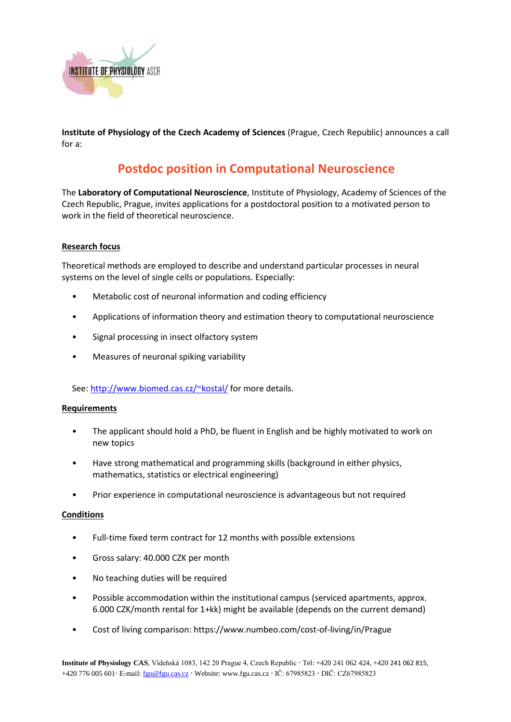

**Institute of Physiology of the Czech Academy of Sciences** (Prague, Czech Republic) announces a call for a:

# **Postdoc position in Computational Neuroscience**

The **Laboratory of Computational Neuroscience**, Institute of Physiology, Academy of Sciences of the Czech Republic, Prague, invites applications for a postdoctoral position to a motivated person to work in the field of theoretical neuroscience.

## **Research focus**

Theoretical methods are employed to describe and understand particular processes in neural systems on the level of single cells or populations. Especially:

- Metabolic cost of neuronal information and coding efficiency
- Applications of information theory and estimation theory to computational neuroscience
- Signal processing in insect olfactory system
- Measures of neuronal spiking variability

See[: http://www.biomed.cas.cz/~kostal/](http://www.biomed.cas.cz/%7Ekostal/) for more details.

#### **Requirements**

- The applicant should hold a PhD, be fluent in English and be highly motivated to work on new topics
- Have strong mathematical and programming skills (background in either physics, mathematics, statistics or electrical engineering)
- Prior experience in computational neuroscience is advantageous but not required

#### **Conditions**

- Full-time fixed term contract for 12 months with possible extensions
- Gross salary: 40.000 CZK per month
- No teaching duties will be required
- Possible accommodation within the institutional campus (serviced apartments, approx. 6.000 CZK/month rental for 1+kk) might be available (depends on the current demand)
- Cost of living comparison[: https://www.numbeo.com/cost-of-living/in/Prague](https://www.numbeo.com/cost-of-living/in/Prague)